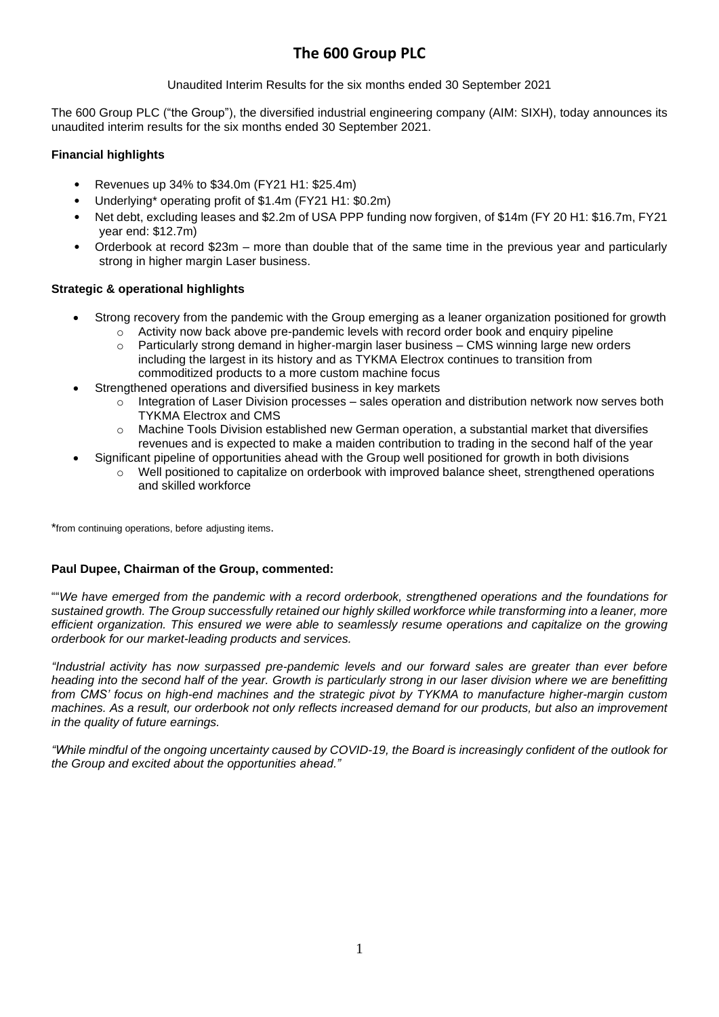# **The 600 Group PLC**

Unaudited Interim Results for the six months ended 30 September 2021

The 600 Group PLC ("the Group"), the diversified industrial engineering company (AIM: SIXH), today announces its unaudited interim results for the six months ended 30 September 2021.

# **Financial highlights**

- Revenues up 34% to \$34.0m (FY21 H1: \$25.4m)
- Underlying\* operating profit of \$1.4m (FY21 H1: \$0.2m)
- Net debt, excluding leases and \$2.2m of USA PPP funding now forgiven, of \$14m (FY 20 H1: \$16.7m, FY21 year end: \$12.7m)
- Orderbook at record \$23m more than double that of the same time in the previous year and particularly strong in higher margin Laser business.

# **Strategic & operational highlights**

- Strong recovery from the pandemic with the Group emerging as a leaner organization positioned for growth
	- $\circ$  Activity now back above pre-pandemic levels with record order book and enquiry pipeline
	- Particularly strong demand in higher-margin laser business CMS winning large new orders including the largest in its history and as TYKMA Electrox continues to transition from commoditized products to a more custom machine focus
- Strengthened operations and diversified business in key markets
	- $\circ$  Integration of Laser Division processes sales operation and distribution network now serves both TYKMA Electrox and CMS
	- $\circ$  Machine Tools Division established new German operation, a substantial market that diversifies revenues and is expected to make a maiden contribution to trading in the second half of the year
- Significant pipeline of opportunities ahead with the Group well positioned for growth in both divisions
	- o Well positioned to capitalize on orderbook with improved balance sheet, strengthened operations and skilled workforce

\*from continuing operations, before adjusting items.

## **Paul Dupee, Chairman of the Group, commented:**

""*We have emerged from the pandemic with a record orderbook, strengthened operations and the foundations for* sustained growth. The Group successfully retained our highly skilled workforce while transforming into a leaner, more *efficient organization. This ensured we were able to seamlessly resume operations and capitalize on the growing orderbook for our market-leading products and services.*

*"Industrial activity has now surpassed pre-pandemic levels and our forward sales are greater than ever before* heading into the second half of the year. Growth is particularly strong in our laser division where we are benefitting *from CMS' focus on high-end machines and the strategic pivot by TYKMA to manufacture higher-margin custom* machines. As a result, our orderbook not only reflects increased demand for our products, but also an improvement *in the quality of future earnings.*

"While mindful of the ongoing uncertainty caused by COVID-19, the Board is increasingly confident of the outlook for *the Group and excited about the opportunities ahead."*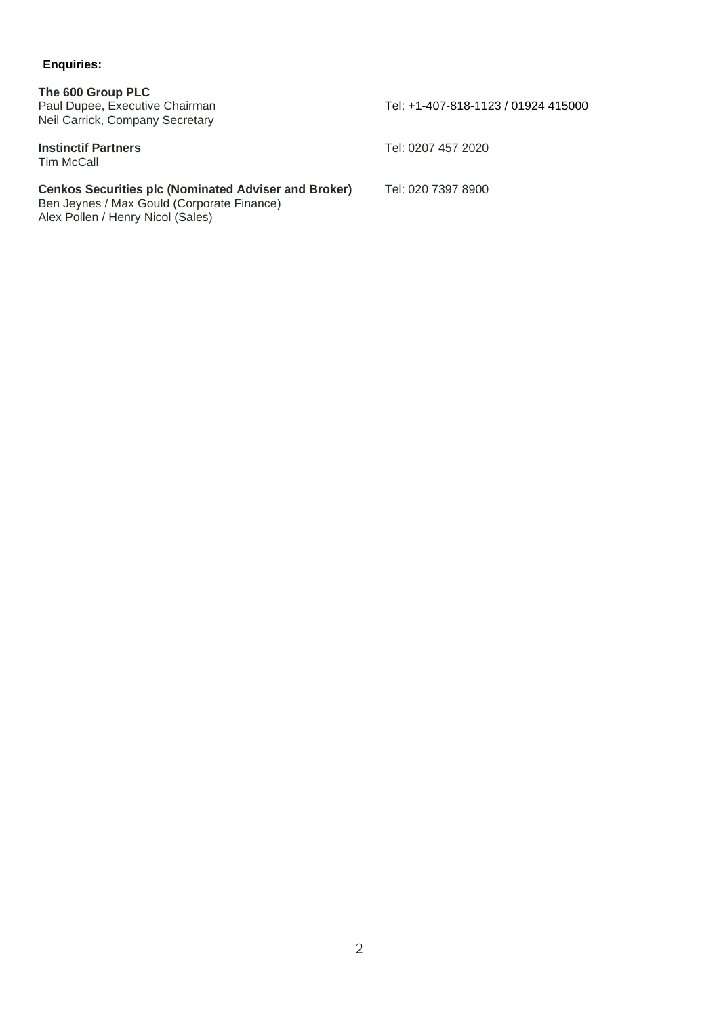# **Enquiries:**

| The 600 Group PLC<br>Paul Dupee, Executive Chairman<br>Neil Carrick, Company Secretary                                                         | Tel: +1-407-818-1123 / 01924 415000 |
|------------------------------------------------------------------------------------------------------------------------------------------------|-------------------------------------|
| <b>Instinctif Partners</b><br>Tim McCall                                                                                                       | Tel: 0207 457 2020                  |
| <b>Cenkos Securities plc (Nominated Adviser and Broker)</b><br>Ben Jeynes / Max Gould (Corporate Finance)<br>Alex Pollen / Henry Nicol (Sales) | Tel: 020 7397 8900                  |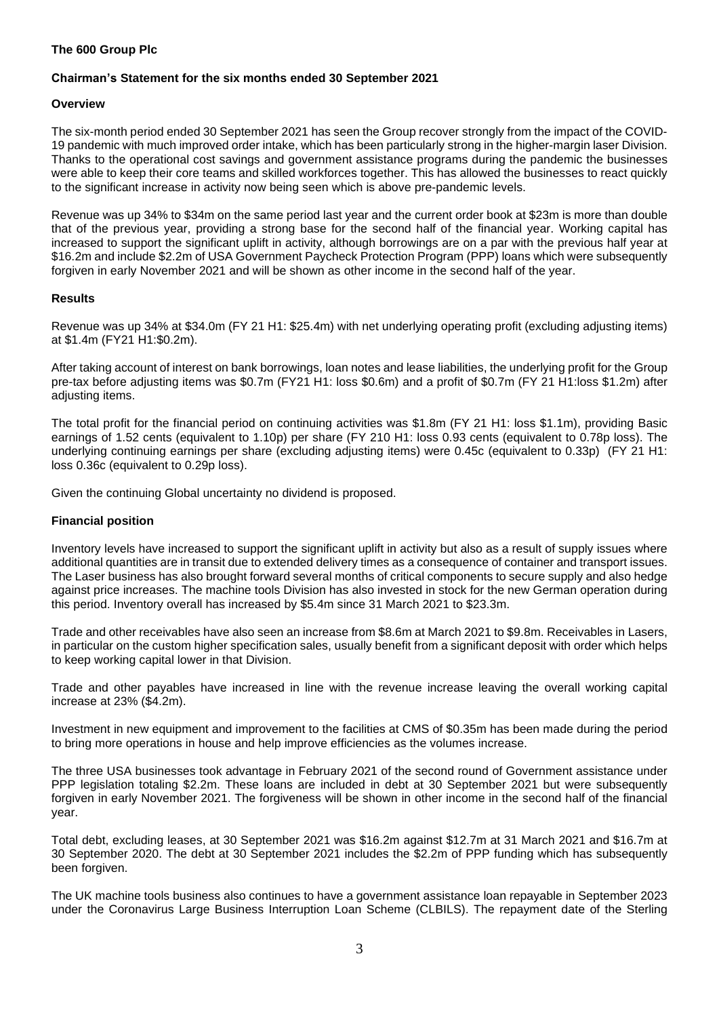## **The 600 Group Plc**

### **Chairman's Statement for the six months ended 30 September 2021**

### **Overview**

The six-month period ended 30 September 2021 has seen the Group recover strongly from the impact of the COVID-19 pandemic with much improved order intake, which has been particularly strong in the higher-margin laser Division. Thanks to the operational cost savings and government assistance programs during the pandemic the businesses were able to keep their core teams and skilled workforces together. This has allowed the businesses to react quickly to the significant increase in activity now being seen which is above pre-pandemic levels.

Revenue was up 34% to \$34m on the same period last year and the current order book at \$23m is more than double that of the previous year, providing a strong base for the second half of the financial year. Working capital has increased to support the significant uplift in activity, although borrowings are on a par with the previous half year at \$16.2m and include \$2.2m of USA Government Paycheck Protection Program (PPP) loans which were subsequently forgiven in early November 2021 and will be shown as other income in the second half of the year.

### **Results**

Revenue was up 34% at \$34.0m (FY 21 H1: \$25.4m) with net underlying operating profit (excluding adjusting items) at \$1.4m (FY21 H1:\$0.2m).

After taking account of interest on bank borrowings, loan notes and lease liabilities, the underlying profit for the Group pre-tax before adjusting items was \$0.7m (FY21 H1: loss \$0.6m) and a profit of \$0.7m (FY 21 H1:loss \$1.2m) after adjusting items.

The total profit for the financial period on continuing activities was \$1.8m (FY 21 H1: loss \$1.1m), providing Basic earnings of 1.52 cents (equivalent to 1.10p) per share (FY 210 H1: loss 0.93 cents (equivalent to 0.78p loss). The underlying continuing earnings per share (excluding adjusting items) were 0.45c (equivalent to 0.33p) (FY 21 H1: loss 0.36c (equivalent to 0.29p loss).

Given the continuing Global uncertainty no dividend is proposed.

### **Financial position**

Inventory levels have increased to support the significant uplift in activity but also as a result of supply issues where additional quantities are in transit due to extended delivery times as a consequence of container and transport issues. The Laser business has also brought forward several months of critical components to secure supply and also hedge against price increases. The machine tools Division has also invested in stock for the new German operation during this period. Inventory overall has increased by \$5.4m since 31 March 2021 to \$23.3m.

Trade and other receivables have also seen an increase from \$8.6m at March 2021 to \$9.8m. Receivables in Lasers, in particular on the custom higher specification sales, usually benefit from a significant deposit with order which helps to keep working capital lower in that Division.

Trade and other payables have increased in line with the revenue increase leaving the overall working capital increase at 23% (\$4.2m).

Investment in new equipment and improvement to the facilities at CMS of \$0.35m has been made during the period to bring more operations in house and help improve efficiencies as the volumes increase.

The three USA businesses took advantage in February 2021 of the second round of Government assistance under PPP legislation totaling \$2.2m. These loans are included in debt at 30 September 2021 but were subsequently forgiven in early November 2021. The forgiveness will be shown in other income in the second half of the financial year.

Total debt, excluding leases, at 30 September 2021 was \$16.2m against \$12.7m at 31 March 2021 and \$16.7m at 30 September 2020. The debt at 30 September 2021 includes the \$2.2m of PPP funding which has subsequently been forgiven.

The UK machine tools business also continues to have a government assistance loan repayable in September 2023 under the Coronavirus Large Business Interruption Loan Scheme (CLBILS). The repayment date of the Sterling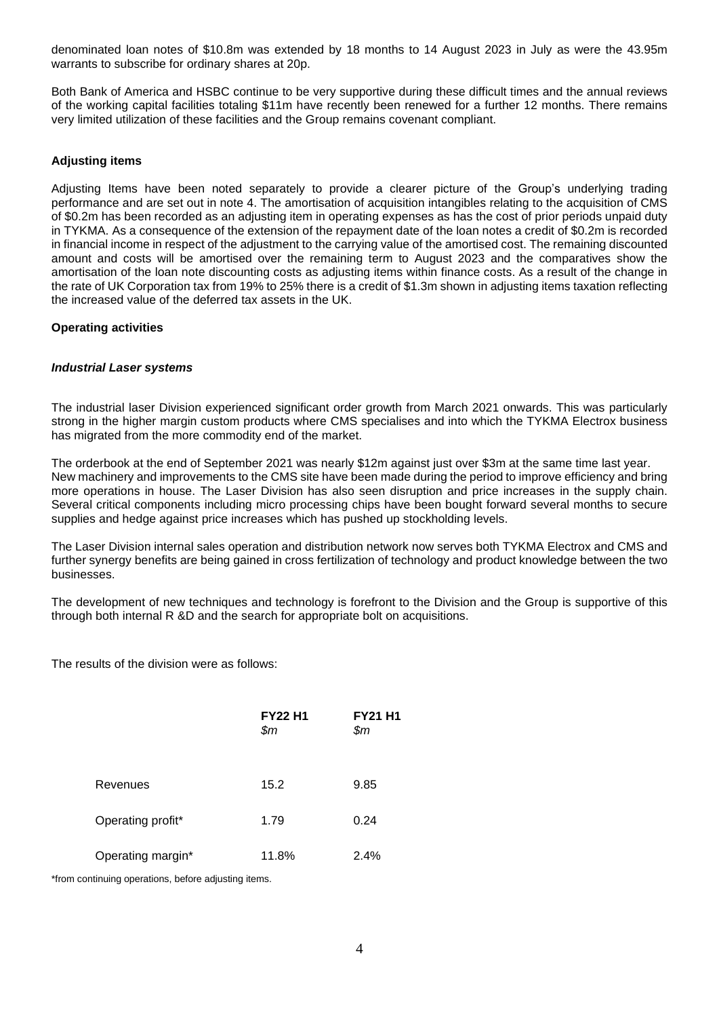denominated loan notes of \$10.8m was extended by 18 months to 14 August 2023 in July as were the 43.95m warrants to subscribe for ordinary shares at 20p.

Both Bank of America and HSBC continue to be very supportive during these difficult times and the annual reviews of the working capital facilities totaling \$11m have recently been renewed for a further 12 months. There remains very limited utilization of these facilities and the Group remains covenant compliant.

### **Adjusting items**

Adjusting Items have been noted separately to provide a clearer picture of the Group's underlying trading performance and are set out in note 4. The amortisation of acquisition intangibles relating to the acquisition of CMS of \$0.2m has been recorded as an adjusting item in operating expenses as has the cost of prior periods unpaid duty in TYKMA. As a consequence of the extension of the repayment date of the loan notes a credit of \$0.2m is recorded in financial income in respect of the adjustment to the carrying value of the amortised cost. The remaining discounted amount and costs will be amortised over the remaining term to August 2023 and the comparatives show the amortisation of the loan note discounting costs as adjusting items within finance costs. As a result of the change in the rate of UK Corporation tax from 19% to 25% there is a credit of \$1.3m shown in adjusting items taxation reflecting the increased value of the deferred tax assets in the UK.

### **Operating activities**

### *Industrial Laser systems*

The industrial laser Division experienced significant order growth from March 2021 onwards. This was particularly strong in the higher margin custom products where CMS specialises and into which the TYKMA Electrox business has migrated from the more commodity end of the market.

The orderbook at the end of September 2021 was nearly \$12m against just over \$3m at the same time last year. New machinery and improvements to the CMS site have been made during the period to improve efficiency and bring more operations in house. The Laser Division has also seen disruption and price increases in the supply chain. Several critical components including micro processing chips have been bought forward several months to secure supplies and hedge against price increases which has pushed up stockholding levels.

The Laser Division internal sales operation and distribution network now serves both TYKMA Electrox and CMS and further synergy benefits are being gained in cross fertilization of technology and product knowledge between the two businesses.

The development of new techniques and technology is forefront to the Division and the Group is supportive of this through both internal R &D and the search for appropriate bolt on acquisitions.

The results of the division were as follows:

|                   | <b>FY22 H1</b><br>\$m | <b>FY21 H1</b><br>\$m |
|-------------------|-----------------------|-----------------------|
| Revenues          | 15.2                  | 9.85                  |
| Operating profit* | 1.79                  | 0.24                  |
| Operating margin* | 11.8%                 | 2.4%                  |

\*from continuing operations, before adjusting items.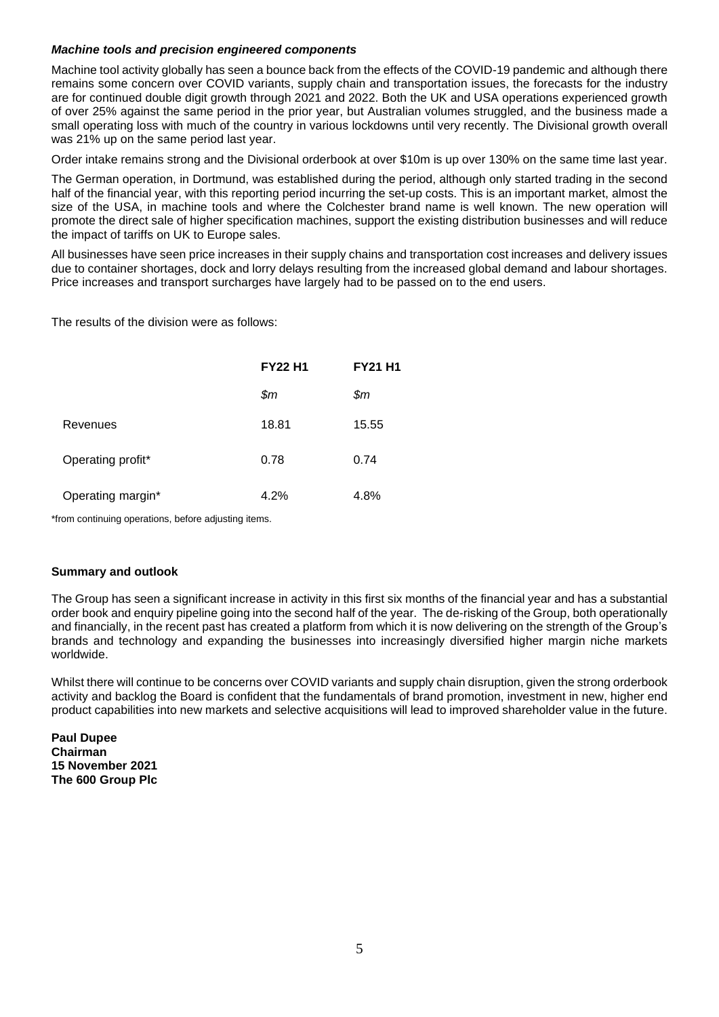### *Machine tools and precision engineered components*

Machine tool activity globally has seen a bounce back from the effects of the COVID-19 pandemic and although there remains some concern over COVID variants, supply chain and transportation issues, the forecasts for the industry are for continued double digit growth through 2021 and 2022. Both the UK and USA operations experienced growth of over 25% against the same period in the prior year, but Australian volumes struggled, and the business made a small operating loss with much of the country in various lockdowns until very recently. The Divisional growth overall was 21% up on the same period last year.

Order intake remains strong and the Divisional orderbook at over \$10m is up over 130% on the same time last year.

The German operation, in Dortmund, was established during the period, although only started trading in the second half of the financial year, with this reporting period incurring the set-up costs. This is an important market, almost the size of the USA, in machine tools and where the Colchester brand name is well known. The new operation will promote the direct sale of higher specification machines, support the existing distribution businesses and will reduce the impact of tariffs on UK to Europe sales.

All businesses have seen price increases in their supply chains and transportation cost increases and delivery issues due to container shortages, dock and lorry delays resulting from the increased global demand and labour shortages. Price increases and transport surcharges have largely had to be passed on to the end users.

The results of the division were as follows:

|                   | <b>FY22 H1</b> | <b>FY21 H1</b> |
|-------------------|----------------|----------------|
|                   | $\mathfrak{m}$ | \$m\$          |
| Revenues          | 18.81          | 15.55          |
| Operating profit* | 0.78           | 0.74           |
| Operating margin* | 4.2%           | 4.8%           |

\*from continuing operations, before adjusting items.

## **Summary and outlook**

The Group has seen a significant increase in activity in this first six months of the financial year and has a substantial order book and enquiry pipeline going into the second half of the year. The de-risking of the Group, both operationally and financially, in the recent past has created a platform from which it is now delivering on the strength of the Group's brands and technology and expanding the businesses into increasingly diversified higher margin niche markets worldwide.

Whilst there will continue to be concerns over COVID variants and supply chain disruption, given the strong orderbook activity and backlog the Board is confident that the fundamentals of brand promotion, investment in new, higher end product capabilities into new markets and selective acquisitions will lead to improved shareholder value in the future.

**Paul Dupee Chairman 15 November 2021 The 600 Group Plc**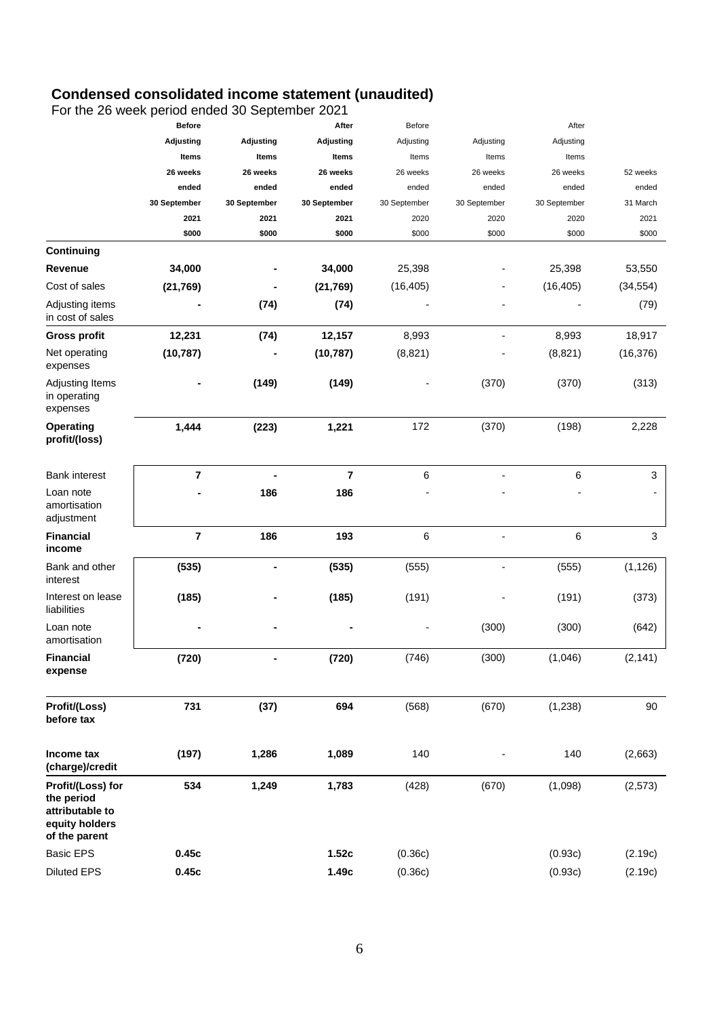# **Condensed consolidated income statement (unaudited)**

For the 26 week period ended 30 September 2021

|                                                                                       | <b>Before</b>           |                  | After        | Before       |                | After        |              |
|---------------------------------------------------------------------------------------|-------------------------|------------------|--------------|--------------|----------------|--------------|--------------|
|                                                                                       | <b>Adjusting</b>        | <b>Adjusting</b> | Adjusting    | Adjusting    | Adjusting      | Adjusting    |              |
|                                                                                       | Items                   | Items            | Items        | Items        | Items          | Items        |              |
|                                                                                       | 26 weeks                | 26 weeks         | 26 weeks     | 26 weeks     | 26 weeks       | 26 weeks     | 52 weeks     |
|                                                                                       | ended                   | ended            | ended        | ended        | ended          | ended        | ended        |
|                                                                                       | 30 September            | 30 September     | 30 September | 30 September | 30 September   | 30 September | 31 March     |
|                                                                                       | 2021                    | 2021             | 2021         | 2020         | 2020           | 2020         | 2021         |
|                                                                                       | \$000                   | \$000            | \$000        | \$000        | \$000          | \$000        | \$000        |
| Continuing                                                                            |                         |                  |              |              |                |              |              |
| Revenue                                                                               | 34,000                  |                  | 34,000       | 25,398       |                | 25,398       | 53,550       |
| Cost of sales                                                                         | (21, 769)               |                  | (21, 769)    | (16, 405)    |                | (16, 405)    | (34, 554)    |
| Adjusting items<br>in cost of sales                                                   |                         | (74)             | (74)         |              |                |              | (79)         |
| <b>Gross profit</b>                                                                   | 12,231                  | (74)             | 12,157       | 8,993        | $\overline{a}$ | 8,993        | 18,917       |
| Net operating<br>expenses                                                             | (10, 787)               |                  | (10, 787)    | (8,821)      |                | (8,821)      | (16, 376)    |
| Adjusting Items<br>in operating<br>expenses                                           |                         | (149)            | (149)        |              | (370)          | (370)        | (313)        |
| <b>Operating</b><br>profit/(loss)                                                     | 1,444                   | (223)            | 1,221        | 172          | (370)          | (198)        | 2,228        |
| <b>Bank interest</b>                                                                  | $\overline{\mathbf{r}}$ |                  | 7            | 6            |                | 6            | 3            |
| Loan note<br>amortisation<br>adjustment                                               |                         | 186              | 186          |              |                |              |              |
| <b>Financial</b><br>income                                                            | $\overline{7}$          | 186              | 193          | 6            | -              | 6            | $\mathbf{3}$ |
| Bank and other<br>interest                                                            | (535)                   |                  | (535)        | (555)        | $\overline{a}$ | (555)        | (1, 126)     |
| Interest on lease<br>liabilities                                                      | (185)                   |                  | (185)        | (191)        |                | (191)        | (373)        |
| Loan note<br>amortisation                                                             |                         |                  |              |              | (300)          | (300)        | (642)        |
| <b>Financial</b><br>expense                                                           | (720)                   |                  | (720)        | (746)        | (300)          | (1,046)      | (2, 141)     |
| Profit/(Loss)<br>before tax                                                           | 731                     | (37)             | 694          | (568)        | (670)          | (1, 238)     | 90           |
| Income tax<br>(charge)/credit                                                         | (197)                   | 1,286            | 1,089        | 140          |                | 140          | (2,663)      |
| Profit/(Loss) for<br>the period<br>attributable to<br>equity holders<br>of the parent | 534                     | 1,249            | 1,783        | (428)        | (670)          | (1,098)      | (2, 573)     |
| <b>Basic EPS</b>                                                                      | 0.45c                   |                  | 1.52c        | (0.36c)      |                | (0.93c)      | (2.19c)      |
| <b>Diluted EPS</b>                                                                    | 0.45c                   |                  | 1.49c        | (0.36c)      |                | (0.93c)      | (2.19c)      |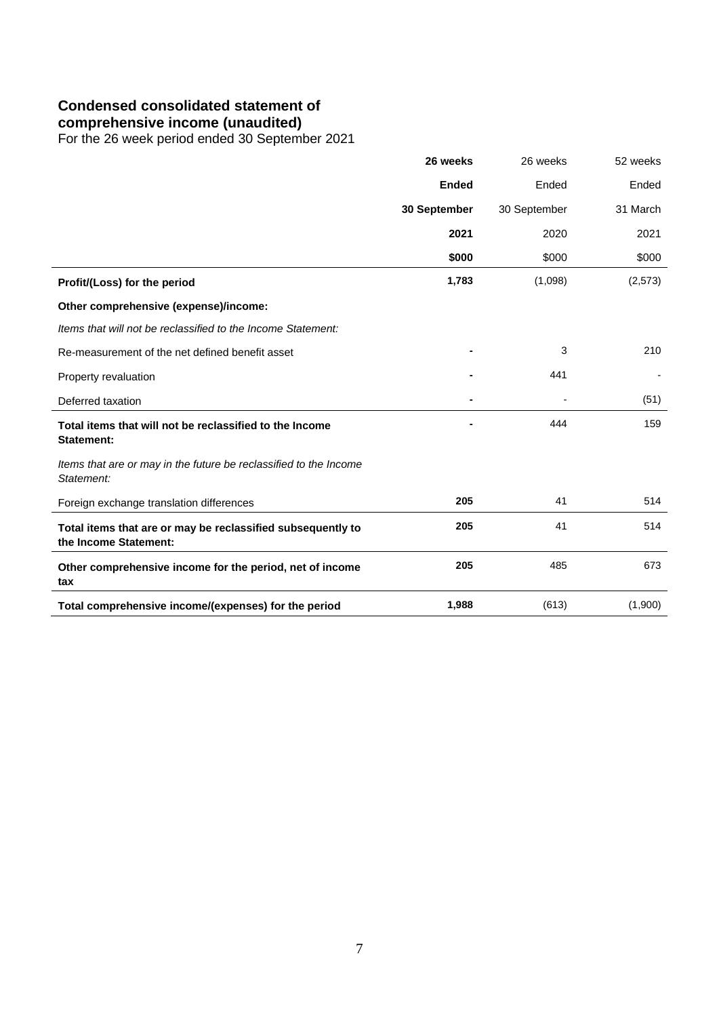# **Condensed consolidated statement of**

**comprehensive income (unaudited)**

For the 26 week period ended 30 September 2021

|                                                                                      | 26 weeks     | 26 weeks     | 52 weeks |
|--------------------------------------------------------------------------------------|--------------|--------------|----------|
|                                                                                      | <b>Ended</b> | Ended        | Ended    |
|                                                                                      | 30 September | 30 September | 31 March |
|                                                                                      | 2021         | 2020         | 2021     |
|                                                                                      | \$000        | \$000        | \$000    |
| Profit/(Loss) for the period                                                         | 1,783        | (1,098)      | (2,573)  |
| Other comprehensive (expense)/income:                                                |              |              |          |
| Items that will not be reclassified to the Income Statement:                         |              |              |          |
| Re-measurement of the net defined benefit asset                                      |              | 3            | 210      |
| Property revaluation                                                                 |              | 441          |          |
| Deferred taxation                                                                    |              |              | (51)     |
| Total items that will not be reclassified to the Income<br><b>Statement:</b>         |              | 444          | 159      |
| Items that are or may in the future be reclassified to the Income<br>Statement:      |              |              |          |
| Foreign exchange translation differences                                             | 205          | 41           | 514      |
| Total items that are or may be reclassified subsequently to<br>the Income Statement: | 205          | 41           | 514      |
| Other comprehensive income for the period, net of income<br>tax                      | 205          | 485          | 673      |
| Total comprehensive income/(expenses) for the period                                 | 1,988        | (613)        | (1,900)  |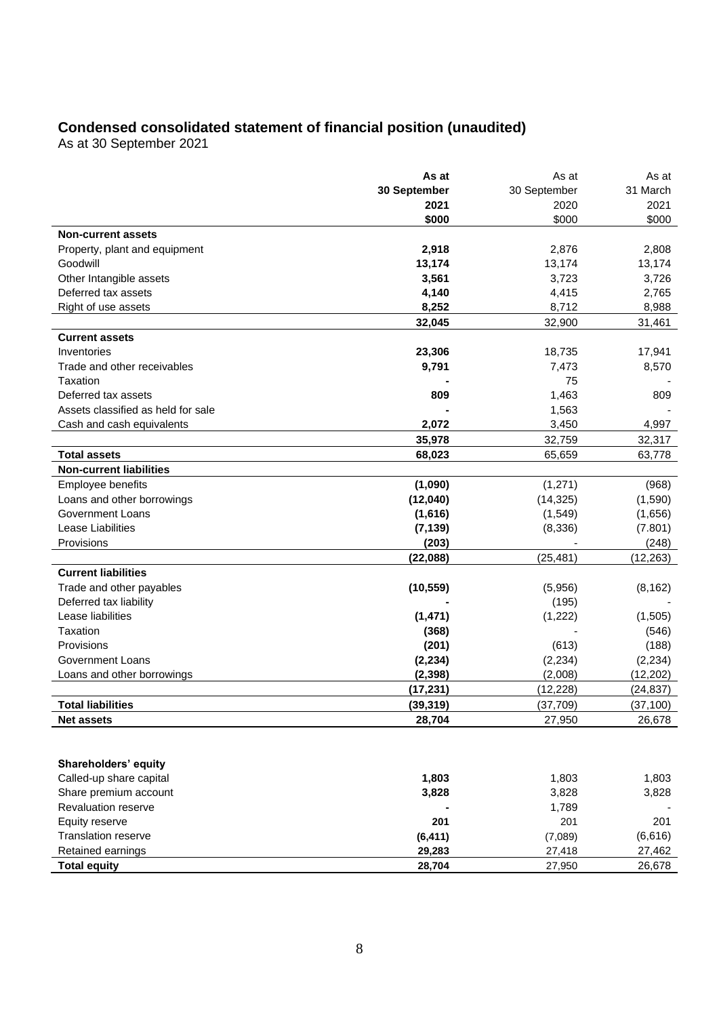# **Condensed consolidated statement of financial position (unaudited)**

As at 30 September 2021

|                                    | As at        | As at        | As at     |
|------------------------------------|--------------|--------------|-----------|
|                                    | 30 September | 30 September | 31 March  |
|                                    | 2021         | 2020         | 2021      |
|                                    | \$000        | \$000        | \$000     |
| <b>Non-current assets</b>          |              |              |           |
| Property, plant and equipment      | 2,918        | 2,876        | 2,808     |
| Goodwill                           | 13,174       | 13,174       | 13,174    |
| Other Intangible assets            | 3,561        | 3,723        | 3,726     |
| Deferred tax assets                | 4,140        | 4,415        | 2,765     |
| Right of use assets                | 8,252        | 8,712        | 8,988     |
|                                    | 32,045       | 32,900       | 31,461    |
| <b>Current assets</b>              |              |              |           |
| Inventories                        | 23,306       | 18,735       | 17,941    |
| Trade and other receivables        | 9,791        | 7,473        | 8,570     |
| Taxation                           |              | 75           |           |
| Deferred tax assets                | 809          | 1,463        | 809       |
| Assets classified as held for sale |              | 1,563        |           |
| Cash and cash equivalents          | 2,072        | 3,450        | 4,997     |
|                                    | 35,978       | 32,759       | 32,317    |
| <b>Total assets</b>                | 68,023       | 65,659       | 63,778    |
| <b>Non-current liabilities</b>     |              |              |           |
| Employee benefits                  | (1,090)      | (1, 271)     | (968)     |
| Loans and other borrowings         | (12,040)     | (14, 325)    | (1,590)   |
| Government Loans                   | (1,616)      | (1,549)      | (1,656)   |
| Lease Liabilities                  | (7, 139)     | (8,336)      | (7.801)   |
| Provisions                         | (203)        |              | (248)     |
|                                    | (22,088)     | (25, 481)    | (12, 263) |
| <b>Current liabilities</b>         |              |              |           |
| Trade and other payables           | (10, 559)    | (5,956)      | (8, 162)  |
| Deferred tax liability             |              | (195)        |           |
| Lease liabilities                  | (1, 471)     | (1,222)      | (1,505)   |
| Taxation                           | (368)        |              | (546)     |
| Provisions                         | (201)        | (613)        | (188)     |
| Government Loans                   | (2, 234)     | (2, 234)     | (2, 234)  |
| Loans and other borrowings         | (2, 398)     | (2,008)      | (12, 202) |
|                                    | (17, 231)    | (12, 228)    | (24, 837) |
| <b>Total liabilities</b>           | (39, 319)    | (37,709)     | (37, 100) |
| <b>Net assets</b>                  | 28,704       | 27,950       | 26,678    |
|                                    |              |              |           |
|                                    |              |              |           |
| Shareholders' equity               |              |              |           |
| Called-up share capital            | 1,803        | 1,803        | 1,803     |
| Share premium account              | 3,828        | 3,828        | 3,828     |
| Revaluation reserve                |              | 1,789        |           |
| Equity reserve                     | 201          | 201          | 201       |
| Translation reserve                | (6, 411)     | (7,089)      | (6,616)   |
| Retained earnings                  | 29,283       | 27,418       | 27,462    |
| <b>Total equity</b>                | 28,704       | 27,950       | 26,678    |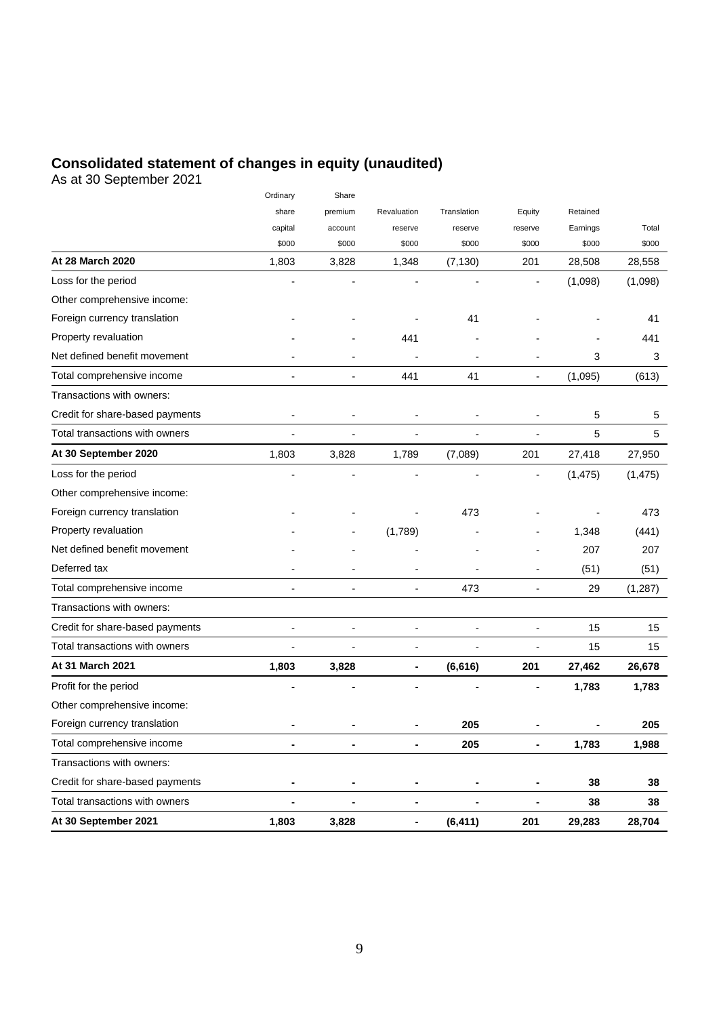# **Consolidated statement of changes in equity (unaudited)**

As at 30 September 2021

|                                 | Ordinary       | Share                    |                          |                |                          |          |          |
|---------------------------------|----------------|--------------------------|--------------------------|----------------|--------------------------|----------|----------|
|                                 | share          | premium                  | Revaluation              | Translation    | Equity                   | Retained |          |
|                                 | capital        | account                  | reserve                  | reserve        | reserve                  | Earnings | Total    |
|                                 | \$000          | \$000                    | \$000                    | \$000          | \$000                    | \$000    | \$000    |
| At 28 March 2020                | 1,803          | 3,828                    | 1,348                    | (7, 130)       | 201                      | 28,508   | 28,558   |
| Loss for the period             |                |                          |                          |                |                          | (1,098)  | (1,098)  |
| Other comprehensive income:     |                |                          |                          |                |                          |          |          |
| Foreign currency translation    |                |                          |                          | 41             |                          |          | 41       |
| Property revaluation            |                |                          | 441                      |                |                          |          | 441      |
| Net defined benefit movement    |                |                          |                          |                |                          | 3        | 3        |
| Total comprehensive income      | L,             | $\overline{\phantom{a}}$ | 441                      | 41             | $\overline{\phantom{a}}$ | (1,095)  | (613)    |
| Transactions with owners:       |                |                          |                          |                |                          |          |          |
| Credit for share-based payments | $\overline{a}$ | $\overline{a}$           | $\overline{\phantom{a}}$ |                |                          | 5        | 5        |
| Total transactions with owners  | ÷,             | $\overline{\phantom{a}}$ | $\overline{a}$           | $\overline{a}$ | $\overline{\phantom{a}}$ | 5        | 5        |
| At 30 September 2020            | 1,803          | 3,828                    | 1,789                    | (7,089)        | 201                      | 27,418   | 27,950   |
| Loss for the period             |                |                          |                          |                |                          | (1, 475) | (1, 475) |
| Other comprehensive income:     |                |                          |                          |                |                          |          |          |
| Foreign currency translation    |                |                          |                          | 473            |                          |          | 473      |
| Property revaluation            |                |                          | (1,789)                  |                |                          | 1,348    | (441)    |
| Net defined benefit movement    |                |                          |                          |                |                          | 207      | 207      |
| Deferred tax                    |                |                          |                          |                |                          | (51)     | (51)     |
| Total comprehensive income      | ÷              | $\overline{\phantom{a}}$ | $\overline{a}$           | 473            | -                        | 29       | (1, 287) |
| Transactions with owners:       |                |                          |                          |                |                          |          |          |
| Credit for share-based payments |                | $\overline{a}$           |                          |                | $\overline{a}$           | 15       | 15       |
| Total transactions with owners  |                | $\overline{a}$           | $\overline{\phantom{a}}$ |                | -                        | 15       | 15       |
| At 31 March 2021                | 1,803          | 3,828                    | $\blacksquare$           | (6,616)        | 201                      | 27,462   | 26,678   |
| Profit for the period           |                |                          |                          |                |                          | 1,783    | 1,783    |
| Other comprehensive income:     |                |                          |                          |                |                          |          |          |
| Foreign currency translation    |                |                          |                          | 205            |                          |          | 205      |
| Total comprehensive income      | ä,             | $\blacksquare$           | $\blacksquare$           | 205            | -                        | 1,783    | 1,988    |
| Transactions with owners:       |                |                          |                          |                |                          |          |          |
| Credit for share-based payments | $\blacksquare$ |                          | ٠                        |                | -                        | 38       | 38       |
| Total transactions with owners  | $\blacksquare$ | $\blacksquare$           | ۰                        | $\blacksquare$ | -                        | 38       | 38       |
| At 30 September 2021            | 1,803          | 3,828                    | $\blacksquare$           | (6, 411)       | 201                      | 29,283   | 28,704   |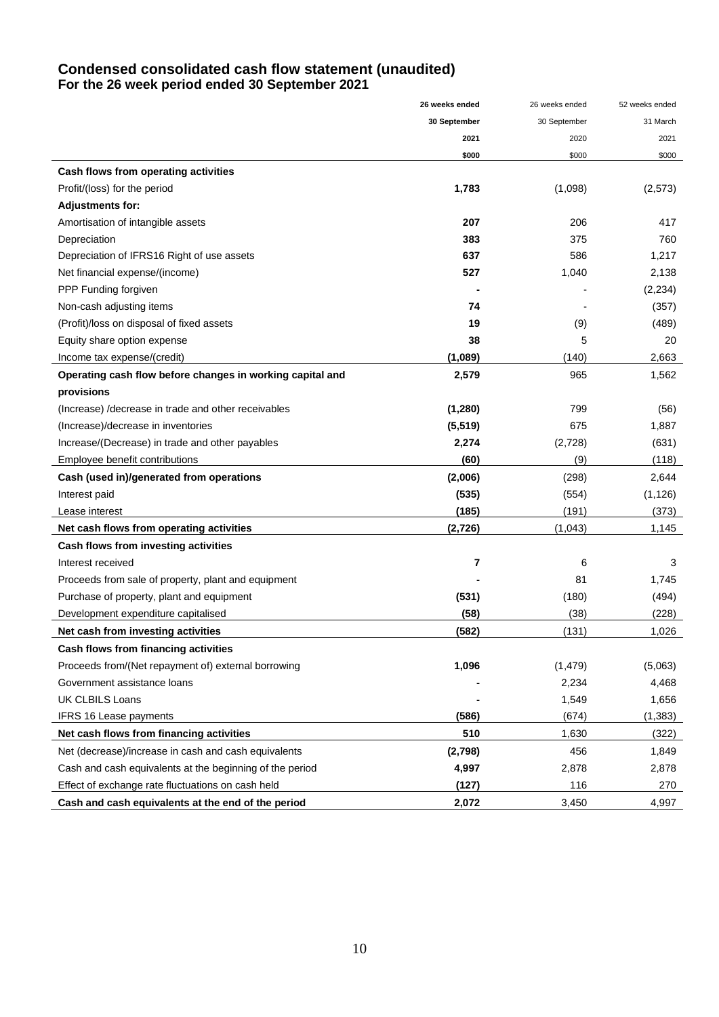# **Condensed consolidated cash flow statement (unaudited) For the 26 week period ended 30 September 2021**

|                                                           | 26 weeks ended | 26 weeks ended | 52 weeks ended |
|-----------------------------------------------------------|----------------|----------------|----------------|
|                                                           | 30 September   | 30 September   | 31 March       |
|                                                           | 2021           | 2020           | 2021           |
|                                                           | \$000          | \$000          | \$000          |
| Cash flows from operating activities                      |                |                |                |
| Profit/(loss) for the period                              | 1,783          | (1,098)        | (2, 573)       |
| <b>Adjustments for:</b>                                   |                |                |                |
| Amortisation of intangible assets                         | 207            | 206            | 417            |
| Depreciation                                              | 383            | 375            | 760            |
| Depreciation of IFRS16 Right of use assets                | 637            | 586            | 1,217          |
| Net financial expense/(income)                            | 527            | 1,040          | 2,138          |
| PPP Funding forgiven                                      |                |                | (2, 234)       |
| Non-cash adjusting items                                  | 74             |                | (357)          |
| (Profit)/loss on disposal of fixed assets                 | 19             | (9)            | (489)          |
| Equity share option expense                               | 38             | 5              | 20             |
| Income tax expense/(credit)                               | (1,089)        | (140)          | 2,663          |
| Operating cash flow before changes in working capital and | 2,579          | 965            | 1,562          |
| provisions                                                |                |                |                |
| (Increase) / decrease in trade and other receivables      | (1, 280)       | 799            | (56)           |
| (Increase)/decrease in inventories                        | (5, 519)       | 675            | 1,887          |
| Increase/(Decrease) in trade and other payables           | 2,274          | (2,728)        | (631)          |
| Employee benefit contributions                            | (60)           | (9)            | (118)          |
| Cash (used in)/generated from operations                  | (2,006)        | (298)          | 2,644          |
| Interest paid                                             | (535)          | (554)          | (1, 126)       |
| Lease interest                                            | (185)          | (191)          | (373)          |
| Net cash flows from operating activities                  | (2,726)        | (1,043)        | 1,145          |
| Cash flows from investing activities                      |                |                |                |
| Interest received                                         | 7              | 6              | 3              |
| Proceeds from sale of property, plant and equipment       |                | 81             | 1,745          |
| Purchase of property, plant and equipment                 | (531)          | (180)          | (494)          |
| Development expenditure capitalised                       | (58)           | (38)           | (228)          |
| Net cash from investing activities                        | (582)          | (131)          | 1,026          |
| Cash flows from financing activities                      |                |                |                |
| Proceeds from/(Net repayment of) external borrowing       | 1,096          | (1, 479)       | (5,063)        |
| Government assistance loans                               |                | 2,234          | 4,468          |
| <b>UK CLBILS Loans</b>                                    |                | 1,549          | 1,656          |
| <b>IFRS 16 Lease payments</b>                             | (586)          | (674)          | (1, 383)       |
| Net cash flows from financing activities                  | 510            | 1,630          | (322)          |
| Net (decrease)/increase in cash and cash equivalents      | (2,798)        | 456            | 1,849          |
| Cash and cash equivalents at the beginning of the period  | 4,997          | 2,878          | 2,878          |
| Effect of exchange rate fluctuations on cash held         | (127)          | 116            | 270            |
| Cash and cash equivalents at the end of the period        | 2,072          | 3,450          | 4,997          |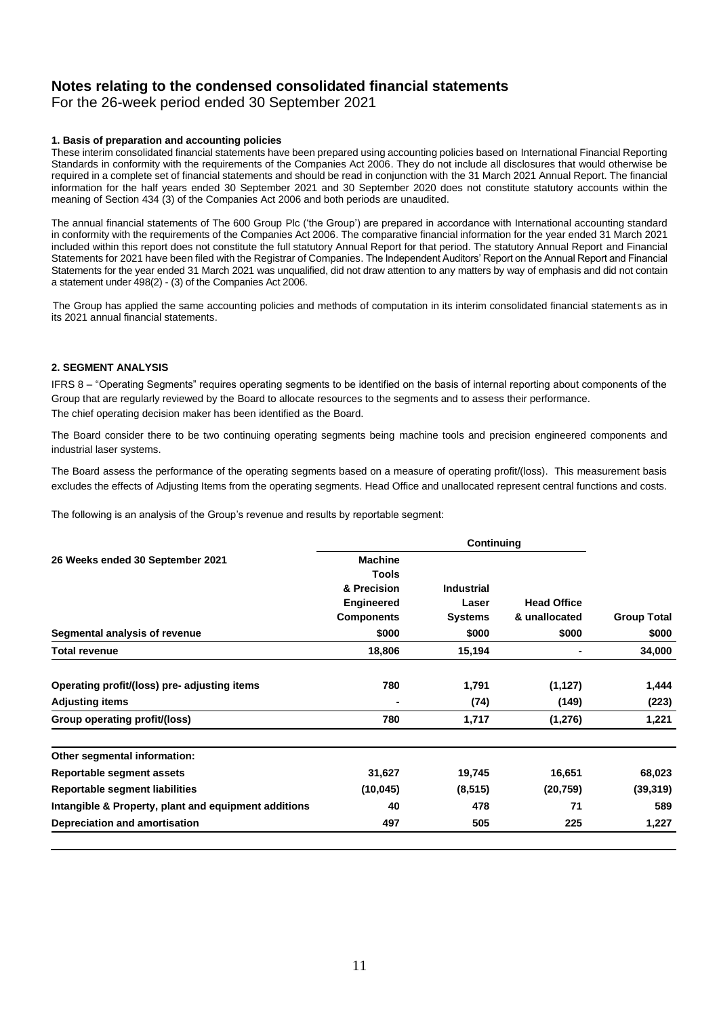# **Notes relating to the condensed consolidated financial statements**

For the 26-week period ended 30 September 2021

### **1. Basis of preparation and accounting policies**

These interim consolidated financial statements have been prepared using accounting policies based on International Financial Reporting Standards in conformity with the requirements of the Companies Act 2006. They do not include all disclosures that would otherwise be required in a complete set of financial statements and should be read in conjunction with the 31 March 2021 Annual Report. The financial information for the half years ended 30 September 2021 and 30 September 2020 does not constitute statutory accounts within the meaning of Section 434 (3) of the Companies Act 2006 and both periods are unaudited.

 The annual financial statements of The 600 Group Plc ('the Group') are prepared in accordance with International accounting standard in conformity with the requirements of the Companies Act 2006. The comparative financial information for the year ended 31 March 2021 included within this report does not constitute the full statutory Annual Report for that period. The statutory Annual Report and Financial Statements for 2021 have been filed with the Registrar of Companies. The Independent Auditors' Report on the Annual Report and Financial Statements for the year ended 31 March 2021 was unqualified, did not draw attention to any matters by way of emphasis and did not contain a statement under 498(2) - (3) of the Companies Act 2006.

 The Group has applied the same accounting policies and methods of computation in its interim consolidated financial statements as in its 2021 annual financial statements.

### **2. SEGMENT ANALYSIS**

IFRS 8 – "Operating Segments" requires operating segments to be identified on the basis of internal reporting about components of the Group that are regularly reviewed by the Board to allocate resources to the segments and to assess their performance. The chief operating decision maker has been identified as the Board.

The Board consider there to be two continuing operating segments being machine tools and precision engineered components and industrial laser systems.

The Board assess the performance of the operating segments based on a measure of operating profit/(loss). This measurement basis excludes the effects of Adjusting Items from the operating segments. Head Office and unallocated represent central functions and costs.

The following is an analysis of the Group's revenue and results by reportable segment:

| 26 Weeks ended 30 September 2021                     | <b>Machine</b>    |                |                    |                    |
|------------------------------------------------------|-------------------|----------------|--------------------|--------------------|
|                                                      | <b>Tools</b>      |                |                    |                    |
|                                                      | & Precision       | Industrial     |                    |                    |
|                                                      | <b>Engineered</b> | Laser          | <b>Head Office</b> |                    |
|                                                      | <b>Components</b> | <b>Systems</b> | & unallocated      | <b>Group Total</b> |
| Segmental analysis of revenue                        | \$000             | \$000          | \$000              | \$000              |
| <b>Total revenue</b>                                 | 18,806            | 15,194         | ٠                  | 34,000             |
| Operating profit/(loss) pre- adjusting items         | 780               | 1,791          | (1, 127)           | 1,444              |
| <b>Adjusting items</b>                               |                   | (74)           | (149)              | (223)              |
| Group operating profit/(loss)                        | 780               | 1,717          | (1,276)            | 1,221              |
| Other segmental information:                         |                   |                |                    |                    |
| Reportable segment assets                            | 31,627            | 19,745         | 16,651             | 68,023             |
| Reportable segment liabilities                       | (10, 045)         | (8, 515)       | (20, 759)          | (39, 319)          |
| Intangible & Property, plant and equipment additions | 40                | 478            | 71                 | 589                |
| Depreciation and amortisation                        | 497               | 505            | 225                | 1,227              |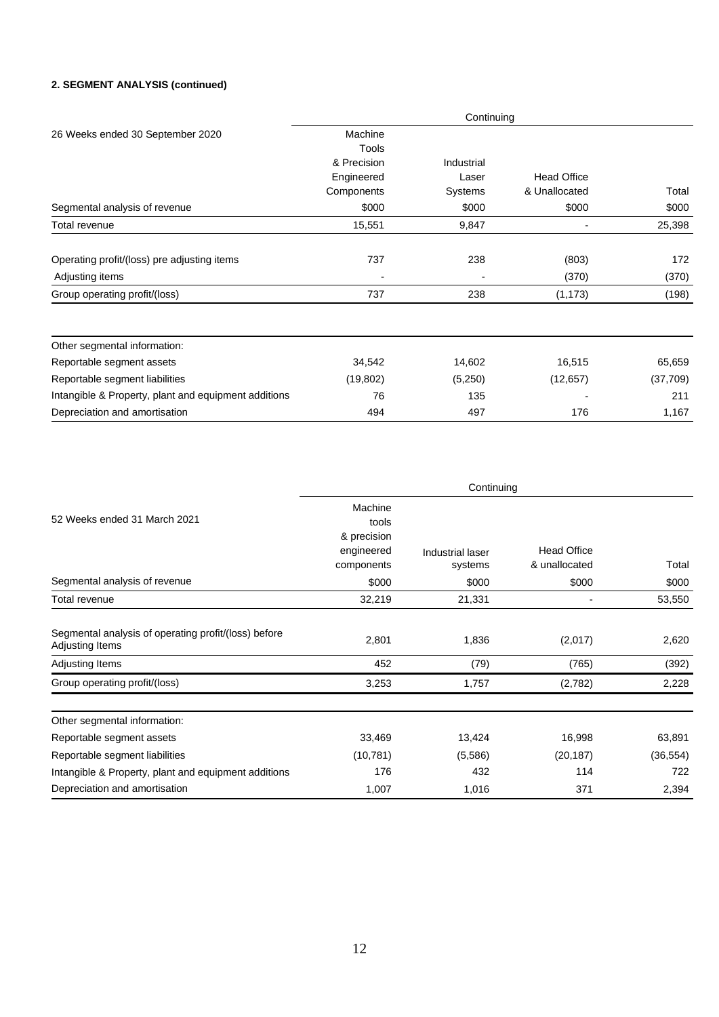### **2. SEGMENT ANALYSIS (continued)**

|                                                      | Continuing               |            |                    |           |  |
|------------------------------------------------------|--------------------------|------------|--------------------|-----------|--|
| 26 Weeks ended 30 September 2020                     | Machine<br>Tools         |            |                    |           |  |
|                                                      | & Precision              | Industrial |                    |           |  |
|                                                      | Engineered<br>Components | Laser      | <b>Head Office</b> |           |  |
|                                                      |                          | Systems    | & Unallocated      | Total     |  |
| Segmental analysis of revenue                        | \$000                    | \$000      | \$000              | \$000     |  |
| Total revenue                                        | 15,551                   | 9,847      |                    | 25,398    |  |
| Operating profit/(loss) pre adjusting items          | 737                      | 238        | (803)              | 172       |  |
| Adjusting items                                      |                          |            | (370)              | (370)     |  |
| Group operating profit/(loss)                        | 737                      | 238        | (1, 173)           | (198)     |  |
| Other segmental information:                         |                          |            |                    |           |  |
| Reportable segment assets                            | 34,542                   | 14,602     | 16,515             | 65,659    |  |
| Reportable segment liabilities                       | (19, 802)                | (5,250)    | (12, 657)          | (37, 709) |  |
| Intangible & Property, plant and equipment additions | 76                       | 135        |                    | 211       |  |
| Depreciation and amortisation                        | 494                      | 497        | 176                | 1,167     |  |

| 52 Weeks ended 31 March 2021<br>Segmental analysis of revenue           | Continuing                                                           |                             |                                     |                |  |
|-------------------------------------------------------------------------|----------------------------------------------------------------------|-----------------------------|-------------------------------------|----------------|--|
|                                                                         | Machine<br>tools<br>& precision<br>engineered<br>components<br>\$000 | Industrial laser<br>systems | <b>Head Office</b><br>& unallocated | Total<br>\$000 |  |
|                                                                         |                                                                      | \$000                       | \$000                               |                |  |
| Total revenue                                                           | 32,219                                                               | 21,331                      |                                     | 53,550         |  |
| Segmental analysis of operating profit/(loss) before<br>Adjusting Items | 2,801                                                                | 1,836                       | (2,017)                             | 2,620          |  |
| Adjusting Items                                                         | 452                                                                  | (79)                        | (765)                               | (392)          |  |
| Group operating profit/(loss)                                           | 3,253                                                                | 1,757                       | (2,782)                             | 2,228          |  |
| Other segmental information:                                            |                                                                      |                             |                                     |                |  |
| Reportable segment assets                                               | 33,469                                                               | 13,424                      | 16,998                              | 63,891         |  |
| Reportable segment liabilities                                          | (10, 781)                                                            | (5,586)                     | (20, 187)                           | (36, 554)      |  |
| Intangible & Property, plant and equipment additions                    | 176                                                                  | 432                         | 114                                 | 722            |  |
| Depreciation and amortisation                                           | 1,007                                                                | 1,016                       | 371                                 | 2,394          |  |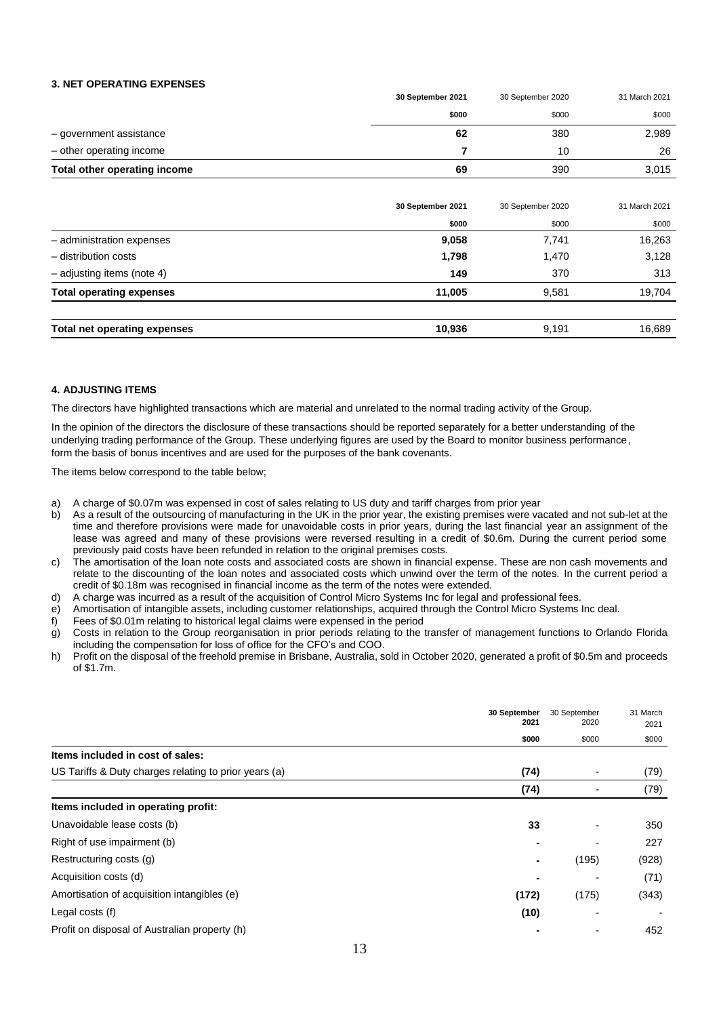#### **3. NET OPERATING EXPENSES**

|                              | 30 September 2021 | 30 September 2020 | 31 March 2021 |
|------------------------------|-------------------|-------------------|---------------|
|                              | \$000             | \$000             | \$000         |
| - government assistance      | 62                | 380               | 2,989         |
| - other operating income     |                   | 10                | 26            |
| Total other operating income | 69                | 390               | 3,015         |

|                                 | 30 September 2021 | 30 September 2020 | 31 March 2021 |
|---------------------------------|-------------------|-------------------|---------------|
|                                 | \$000             | \$000             | \$000         |
| - administration expenses       | 9,058             | 7,741             | 16,263        |
| - distribution costs            | 1,798             | 1,470             | 3,128         |
| $-$ adjusting items (note 4)    | 149               | 370               | 313           |
| <b>Total operating expenses</b> | 11,005            | 9.581             | 19,704        |
|                                 |                   |                   |               |
| Total net operating expenses    | 10,936            | 9.191             | 16.689        |

#### **4. ADJUSTING ITEMS**

The directors have highlighted transactions which are material and unrelated to the normal trading activity of the Group.

In the opinion of the directors the disclosure of these transactions should be reported separately for a better understanding of the underlying trading performance of the Group. These underlying figures are used by the Board to monitor business performance, form the basis of bonus incentives and are used for the purposes of the bank covenants.

The items below correspond to the table below;

- a) A charge of \$0.07m was expensed in cost of sales relating to US duty and tariff charges from prior year
- b) As a result of the outsourcing of manufacturing in the UK in the prior year, the existing premises were vacated and not sub-let at the time and therefore provisions were made for unavoidable costs in prior years, during the last financial year an assignment of the lease was agreed and many of these provisions were reversed resulting in a credit of \$0.6m. During the current period some previously paid costs have been refunded in relation to the original premises costs.
- c) The amortisation of the loan note costs and associated costs are shown in financial expense. These are non cash movements and relate to the discounting of the loan notes and associated costs which unwind over the term of the notes. In the current period a credit of \$0.18m was recognised in financial income as the term of the notes were extended.
- d) A charge was incurred as a result of the acquisition of Control Micro Systems Inc for legal and professional fees.
- e) Amortisation of intangible assets, including customer relationships, acquired through the Control Micro Systems Inc deal.
- f) Fees of \$0.01m relating to historical legal claims were expensed in the period
- g) Costs in relation to the Group reorganisation in prior periods relating to the transfer of management functions to Orlando Florida including the compensation for loss of office for the CFO's and COO.
- h) Profit on the disposal of the freehold premise in Brisbane, Australia, sold in October 2020, generated a profit of \$0.5m and proceeds of \$1.7m.

|                                                       | 30 September<br>2021<br>\$000 | 30 September<br>2020<br>\$000 | 31 March<br>2021<br>\$000 |
|-------------------------------------------------------|-------------------------------|-------------------------------|---------------------------|
| Items included in cost of sales:                      |                               |                               |                           |
| US Tariffs & Duty charges relating to prior years (a) | (74)                          |                               | (79)                      |
|                                                       | (74)                          |                               | (79)                      |
| Items included in operating profit:                   |                               |                               |                           |
| Unavoidable lease costs (b)                           | 33                            |                               | 350                       |
| Right of use impairment (b)                           |                               |                               | 227                       |
| Restructuring costs (g)                               |                               | (195)                         | (928)                     |
| Acquisition costs (d)                                 |                               |                               | (71)                      |
| Amortisation of acquisition intangibles (e)           | (172)                         | (175)                         | (343)                     |
| Legal costs (f)                                       | (10)                          |                               |                           |
| Profit on disposal of Australian property (h)         |                               |                               | 452                       |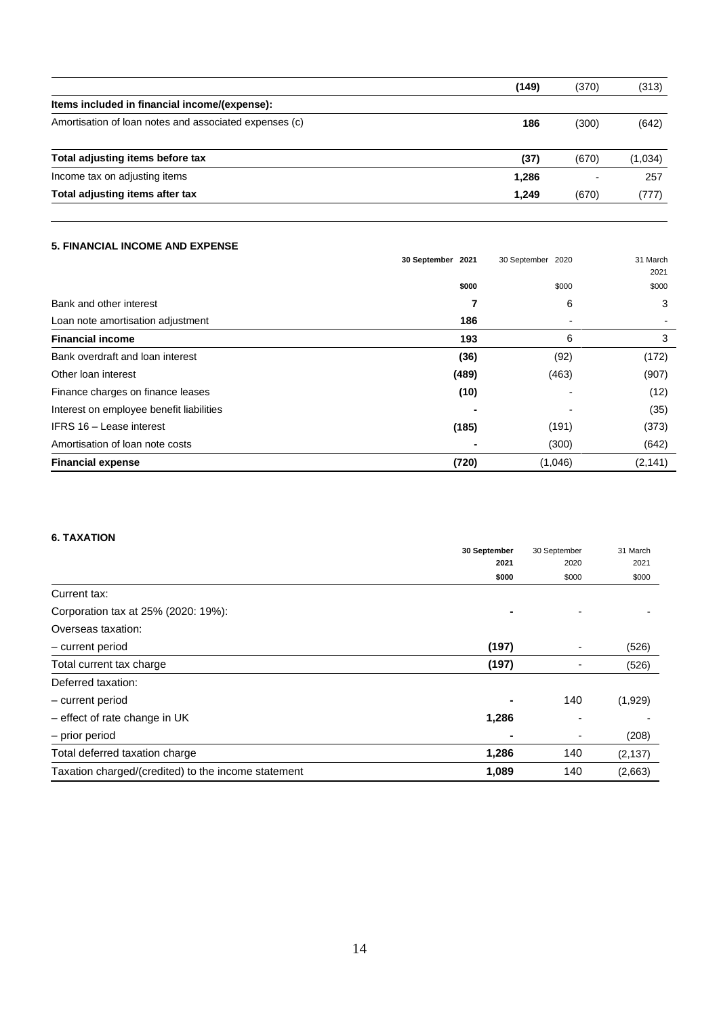|                                                        | (149) | (370) | (313)   |
|--------------------------------------------------------|-------|-------|---------|
| Items included in financial income/(expense):          |       |       |         |
| Amortisation of loan notes and associated expenses (c) | 186   | (300) | (642)   |
| Total adjusting items before tax                       | (37)  | (670) | (1,034) |
| Income tax on adjusting items                          | 1,286 |       | 257     |
| Total adjusting items after tax                        | 1.249 | (670) | (777)   |

## **5. FINANCIAL INCOME AND EXPENSE**

| <b>J. FINANGIAL INGOME AND EAFENSE</b>   |                   |                   |                  |
|------------------------------------------|-------------------|-------------------|------------------|
|                                          | 30 September 2021 | 30 September 2020 | 31 March<br>2021 |
|                                          | \$000             | \$000             | \$000            |
| Bank and other interest                  | 7                 | 6                 | 3                |
| Loan note amortisation adjustment        | 186               |                   |                  |
| <b>Financial income</b>                  | 193               | 6                 | 3                |
| Bank overdraft and loan interest         | (36)              | (92)              | (172)            |
| Other loan interest                      | (489)             | (463)             | (907)            |
| Finance charges on finance leases        | (10)              |                   | (12)             |
| Interest on employee benefit liabilities |                   |                   | (35)             |
| IFRS 16 - Lease interest                 | (185)             | (191)             | (373)            |
| Amortisation of loan note costs          |                   | (300)             | (642)            |
| <b>Financial expense</b>                 | (720)             | (1,046)           | (2, 141)         |
|                                          |                   |                   |                  |

# **6. TAXATION**

|                                                     | 30 September   | 30 September | 31 March |
|-----------------------------------------------------|----------------|--------------|----------|
|                                                     | 2021           | 2020         | 2021     |
|                                                     | \$000          | \$000        | \$000    |
| Current tax:                                        |                |              |          |
| Corporation tax at 25% (2020: 19%):                 |                |              |          |
| Overseas taxation:                                  |                |              |          |
| - current period                                    | (197)          | ٠            | (526)    |
| Total current tax charge                            | (197)          |              | (526)    |
| Deferred taxation:                                  |                |              |          |
| - current period                                    | $\blacksquare$ | 140          | (1,929)  |
| $-$ effect of rate change in UK                     | 1,286          |              |          |
| - prior period                                      | ٠              | ۰            | (208)    |
| Total deferred taxation charge                      | 1,286          | 140          | (2, 137) |
| Taxation charged/(credited) to the income statement | 1,089          | 140          | (2,663)  |
|                                                     |                |              |          |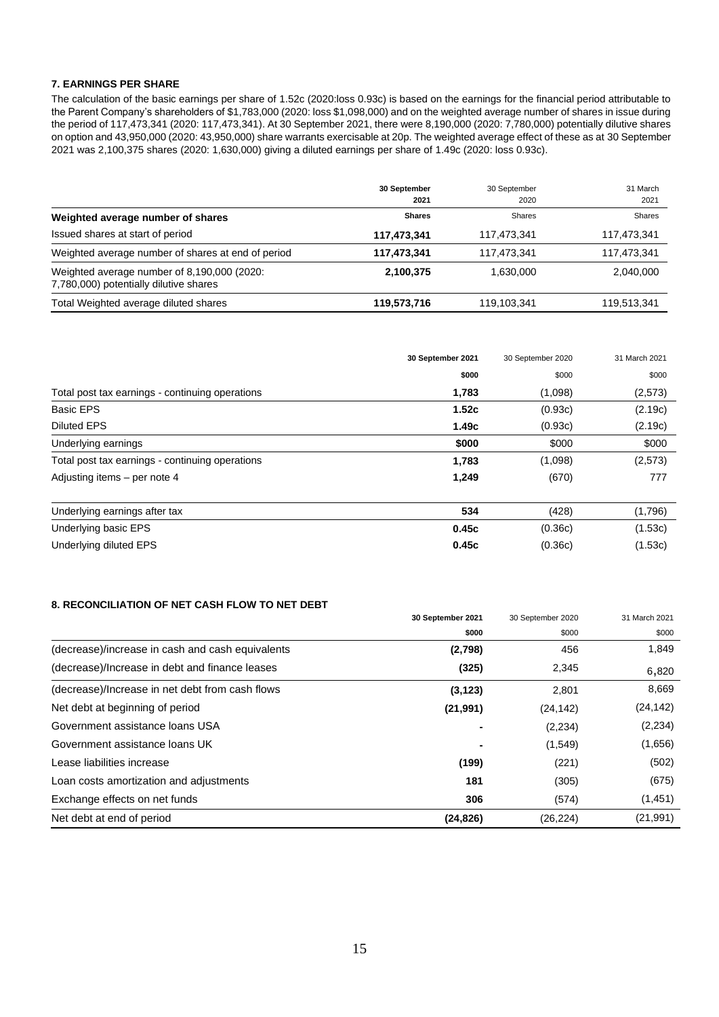#### **7. EARNINGS PER SHARE**

The calculation of the basic earnings per share of 1.52c (2020:loss 0.93c) is based on the earnings for the financial period attributable to the Parent Company's shareholders of \$1,783,000 (2020: loss \$1,098,000) and on the weighted average number of shares in issue during the period of 117,473,341 (2020: 117,473,341). At 30 September 2021, there were 8,190,000 (2020: 7,780,000) potentially dilutive shares on option and 43,950,000 (2020: 43,950,000) share warrants exercisable at 20p. The weighted average effect of these as at 30 September 2021 was 2,100,375 shares (2020: 1,630,000) giving a diluted earnings per share of 1.49c (2020: loss 0.93c).

|                                                                                       | 30 September<br>2021 | 30 September<br>2020 | 31 March<br>2021 |
|---------------------------------------------------------------------------------------|----------------------|----------------------|------------------|
| Weighted average number of shares                                                     | <b>Shares</b>        | Shares               | Shares           |
| Issued shares at start of period                                                      | 117,473,341          | 117,473,341          | 117,473,341      |
| Weighted average number of shares at end of period                                    | 117,473,341          | 117.473.341          | 117,473,341      |
| Weighted average number of 8,190,000 (2020:<br>7,780,000) potentially dilutive shares | 2,100,375            | 1,630,000            | 2,040,000        |
| Total Weighted average diluted shares                                                 | 119,573,716          | 119,103,341          | 119,513,341      |

|                                                 | 30 September 2021 | 30 September 2020 | 31 March 2021 |
|-------------------------------------------------|-------------------|-------------------|---------------|
|                                                 | \$000             | \$000             | \$000         |
| Total post tax earnings - continuing operations | 1,783             | (1,098)           | (2,573)       |
| <b>Basic EPS</b>                                | 1.52c             | (0.93c)           | (2.19c)       |
| <b>Diluted EPS</b>                              | 1.49c             | (0.93c)           | (2.19c)       |
| Underlying earnings                             | \$000             | \$000             | \$000         |
| Total post tax earnings - continuing operations | 1,783             | (1,098)           | (2,573)       |
| Adjusting items – per note 4                    | 1,249             | (670)             | 777           |
| Underlying earnings after tax                   | 534               | (428)             | (1,796)       |
| Underlying basic EPS                            | 0.45c             | (0.36c)           | (1.53c)       |
| Underlying diluted EPS                          | 0.45c             | (0.36c)           | (1.53c)       |

### **8. RECONCILIATION OF NET CASH FLOW TO NET DEBT**

|                                                  | 30 September 2021 | 30 September 2020 | 31 March 2021 |
|--------------------------------------------------|-------------------|-------------------|---------------|
|                                                  | \$000             | \$000             | \$000         |
| (decrease)/increase in cash and cash equivalents | (2,798)           | 456               | 1,849         |
| (decrease)/Increase in debt and finance leases   | (325)             | 2,345             | 6,820         |
| (decrease)/Increase in net debt from cash flows  | (3, 123)          | 2,801             | 8,669         |
| Net debt at beginning of period                  | (21, 991)         | (24, 142)         | (24, 142)     |
| Government assistance loans USA                  |                   | (2,234)           | (2, 234)      |
| Government assistance loans UK                   |                   | (1,549)           | (1,656)       |
| Lease liabilities increase                       | (199)             | (221)             | (502)         |
| Loan costs amortization and adjustments          | 181               | (305)             | (675)         |
| Exchange effects on net funds                    | 306               | (574)             | (1,451)       |
| Net debt at end of period                        | (24, 826)         | (26, 224)         | (21, 991)     |